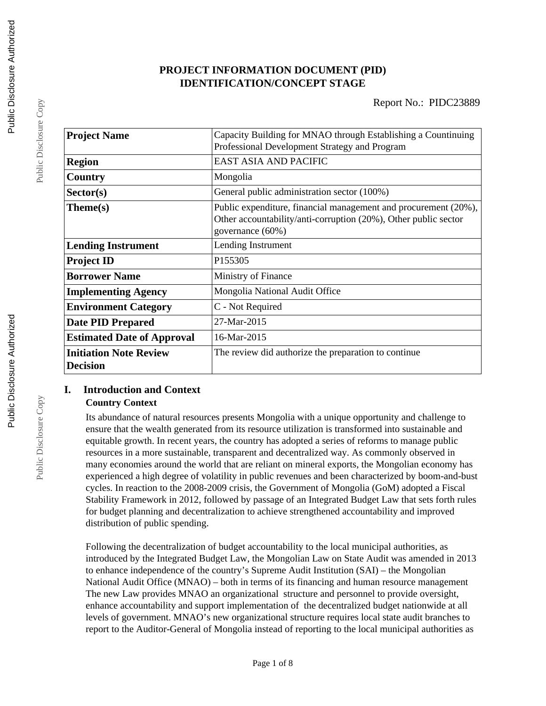# **PROJECT INFORMATION DOCUMENT (PID) IDENTIFICATION/CONCEPT STAGE**

| <b>Project Name</b>                              | Capacity Building for MNAO through Establishing a Countinuing<br>Professional Development Strategy and Program                                         |  |  |
|--------------------------------------------------|--------------------------------------------------------------------------------------------------------------------------------------------------------|--|--|
| <b>Region</b>                                    | <b>EAST ASIA AND PACIFIC</b>                                                                                                                           |  |  |
| Country                                          | Mongolia                                                                                                                                               |  |  |
| Sector(s)                                        | General public administration sector (100%)                                                                                                            |  |  |
| Theme(s)                                         | Public expenditure, financial management and procurement (20%),<br>Other accountability/anti-corruption (20%), Other public sector<br>governance (60%) |  |  |
| <b>Lending Instrument</b>                        | Lending Instrument                                                                                                                                     |  |  |
| <b>Project ID</b>                                | P <sub>155305</sub>                                                                                                                                    |  |  |
| <b>Borrower Name</b>                             | Ministry of Finance                                                                                                                                    |  |  |
| <b>Implementing Agency</b>                       | Mongolia National Audit Office                                                                                                                         |  |  |
| <b>Environment Category</b>                      | C - Not Required                                                                                                                                       |  |  |
| <b>Date PID Prepared</b>                         | 27-Mar-2015                                                                                                                                            |  |  |
| <b>Estimated Date of Approval</b>                | 16-Mar-2015                                                                                                                                            |  |  |
| <b>Initiation Note Review</b><br><b>Decision</b> | The review did authorize the preparation to continue                                                                                                   |  |  |

## **I. Introduction and Context Country Context**

Its abundance of natural resources presents Mongolia with a unique opportunity and challenge to ensure that the wealth generated from its resource utilization is transformed into sustainable and equitable growth. In recent years, the country has adopted a series of reforms to manage public resources in a more sustainable, transparent and decentralized way. As commonly observed in many economies around the world that are reliant on mineral exports, the Mongolian economy has experienced a high degree of volatility in public revenues and been characterized by boom-and-bust cycles. In reaction to the 2008-2009 crisis, the Government of Mongolia (GoM) adopted a Fiscal Stability Framework in 2012, followed by passage of an Integrated Budget Law that sets forth rules for budget planning and decentralization to achieve strengthened accountability and improved distribution of public spending.

Following the decentralization of budget accountability to the local municipal authorities, as introduced by the Integrated Budget Law, the Mongolian Law on State Audit was amended in 2013 to enhance independence of the country's Supreme Audit Institution (SAI) – the Mongolian National Audit Office (MNAO) – both in terms of its financing and human resource management The new Law provides MNAO an organizational structure and personnel to provide oversight, enhance accountability and support implementation of the decentralized budget nationwide at all levels of government. MNAO's new organizational structure requires local state audit branches to report to the Auditor-General of Mongolia instead of reporting to the local municipal authorities as

Public Disclosure Copy

Public Disclosure Copy

Public Disclosure Copy

Public Disclosure Copy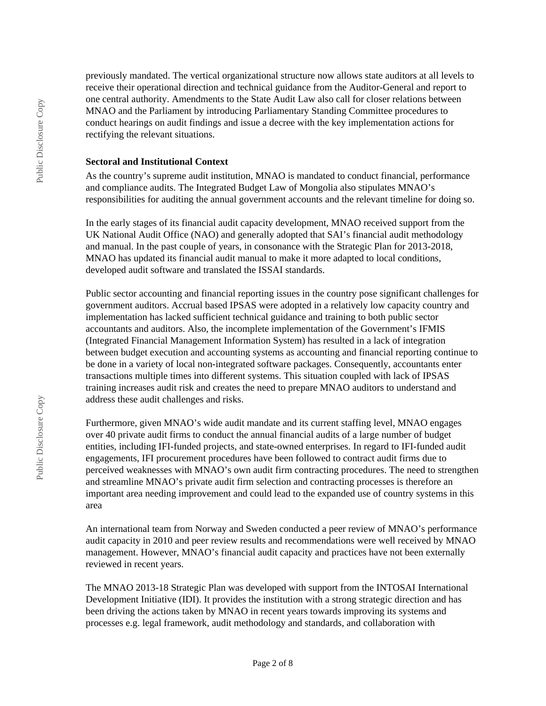previously mandated. The vertical organizational structure now allows state auditors at all levels to receive their operational direction and technical guidance from the Auditor-General and report to one central authority. Amendments to the State Audit Law also call for closer relations between MNAO and the Parliament by introducing Parliamentary Standing Committee procedures to conduct hearings on audit findings and issue a decree with the key implementation actions for rectifying the relevant situations.

#### **Sectoral and Institutional Context**

As the country's supreme audit institution, MNAO is mandated to conduct financial, performance and compliance audits. The Integrated Budget Law of Mongolia also stipulates MNAO's responsibilities for auditing the annual government accounts and the relevant timeline for doing so.

In the early stages of its financial audit capacity development, MNAO received support from the UK National Audit Office (NAO) and generally adopted that SAI's financial audit methodology and manual. In the past couple of years, in consonance with the Strategic Plan for 2013-2018, MNAO has updated its financial audit manual to make it more adapted to local conditions, developed audit software and translated the ISSAI standards.

Public sector accounting and financial reporting issues in the country pose significant challenges for government auditors. Accrual based IPSAS were adopted in a relatively low capacity country and implementation has lacked sufficient technical guidance and training to both public sector accountants and auditors. Also, the incomplete implementation of the Government's IFMIS (Integrated Financial Management Information System) has resulted in a lack of integration between budget execution and accounting systems as accounting and financial reporting continue to be done in a variety of local non-integrated software packages. Consequently, accountants enter transactions multiple times into different systems. This situation coupled with lack of IPSAS training increases audit risk and creates the need to prepare MNAO auditors to understand and address these audit challenges and risks.

Furthermore, given MNAO's wide audit mandate and its current staffing level, MNAO engages over 40 private audit firms to conduct the annual financial audits of a large number of budget entities, including IFI-funded projects, and state-owned enterprises. In regard to IFI-funded audit engagements, IFI procurement procedures have been followed to contract audit firms due to perceived weaknesses with MNAO's own audit firm contracting procedures. The need to strengthen and streamline MNAO's private audit firm selection and contracting processes is therefore an important area needing improvement and could lead to the expanded use of country systems in this area

An international team from Norway and Sweden conducted a peer review of MNAO's performance audit capacity in 2010 and peer review results and recommendations were well received by MNAO management. However, MNAO's financial audit capacity and practices have not been externally reviewed in recent years.

The MNAO 2013-18 Strategic Plan was developed with support from the INTOSAI International Development Initiative (IDI). It provides the institution with a strong strategic direction and has been driving the actions taken by MNAO in recent years towards improving its systems and processes e.g. legal framework, audit methodology and standards, and collaboration with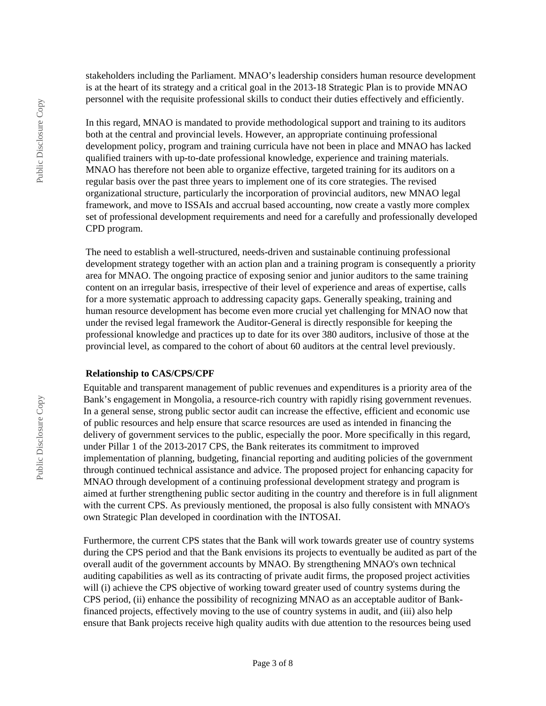stakeholders including the Parliament. MNAO's leadership considers human resource development is at the heart of its strategy and a critical goal in the 2013-18 Strategic Plan is to provide MNAO personnel with the requisite professional skills to conduct their duties effectively and efficiently.

In this regard, MNAO is mandated to provide methodological support and training to its auditors both at the central and provincial levels. However, an appropriate continuing professional development policy, program and training curricula have not been in place and MNAO has lacked qualified trainers with up-to-date professional knowledge, experience and training materials. MNAO has therefore not been able to organize effective, targeted training for its auditors on a regular basis over the past three years to implement one of its core strategies. The revised organizational structure, particularly the incorporation of provincial auditors, new MNAO legal framework, and move to ISSAIs and accrual based accounting, now create a vastly more complex set of professional development requirements and need for a carefully and professionally developed CPD program.

The need to establish a well-structured, needs-driven and sustainable continuing professional development strategy together with an action plan and a training program is consequently a priority area for MNAO. The ongoing practice of exposing senior and junior auditors to the same training content on an irregular basis, irrespective of their level of experience and areas of expertise, calls for a more systematic approach to addressing capacity gaps. Generally speaking, training and human resource development has become even more crucial yet challenging for MNAO now that under the revised legal framework the Auditor-General is directly responsible for keeping the professional knowledge and practices up to date for its over 380 auditors, inclusive of those at the provincial level, as compared to the cohort of about 60 auditors at the central level previously.

#### **Relationship to CAS/CPS/CPF**

Equitable and transparent management of public revenues and expenditures is a priority area of the Bank's engagement in Mongolia, a resource-rich country with rapidly rising government revenues. In a general sense, strong public sector audit can increase the effective, efficient and economic use of public resources and help ensure that scarce resources are used as intended in financing the delivery of government services to the public, especially the poor. More specifically in this regard, under Pillar 1 of the 2013-2017 CPS, the Bank reiterates its commitment to improved implementation of planning, budgeting, financial reporting and auditing policies of the government through continued technical assistance and advice. The proposed project for enhancing capacity for MNAO through development of a continuing professional development strategy and program is aimed at further strengthening public sector auditing in the country and therefore is in full alignment with the current CPS. As previously mentioned, the proposal is also fully consistent with MNAO's own Strategic Plan developed in coordination with the INTOSAI.

Furthermore, the current CPS states that the Bank will work towards greater use of country systems during the CPS period and that the Bank envisions its projects to eventually be audited as part of the overall audit of the government accounts by MNAO. By strengthening MNAO's own technical auditing capabilities as well as its contracting of private audit firms, the proposed project activities will (i) achieve the CPS objective of working toward greater used of country systems during the CPS period, (ii) enhance the possibility of recognizing MNAO as an acceptable auditor of Bankfinanced projects, effectively moving to the use of country systems in audit, and (iii) also help ensure that Bank projects receive high quality audits with due attention to the resources being used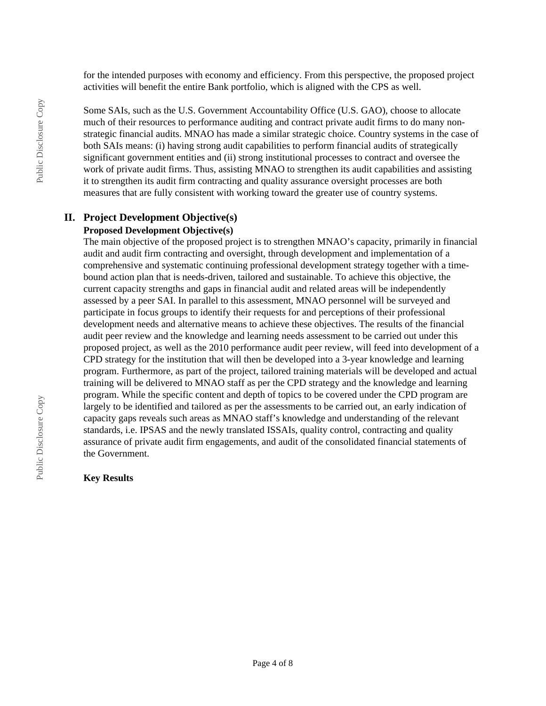for the intended purposes with economy and efficiency. From this perspective, the proposed project activities will benefit the entire Bank portfolio, which is aligned with the CPS as well.

Some SAIs, such as the U.S. Government Accountability Office (U.S. GAO), choose to allocate much of their resources to performance auditing and contract private audit firms to do many nonstrategic financial audits. MNAO has made a similar strategic choice. Country systems in the case of both SAIs means: (i) having strong audit capabilities to perform financial audits of strategically significant government entities and (ii) strong institutional processes to contract and oversee the work of private audit firms. Thus, assisting MNAO to strengthen its audit capabilities and assisting it to strengthen its audit firm contracting and quality assurance oversight processes are both measures that are fully consistent with working toward the greater use of country systems.

## **II. Project Development Objective(s)**

# **Proposed Development Objective(s)**

The main objective of the proposed project is to strengthen MNAO's capacity, primarily in financial audit and audit firm contracting and oversight, through development and implementation of a comprehensive and systematic continuing professional development strategy together with a timebound action plan that is needs-driven, tailored and sustainable. To achieve this objective, the current capacity strengths and gaps in financial audit and related areas will be independently assessed by a peer SAI. In parallel to this assessment, MNAO personnel will be surveyed and participate in focus groups to identify their requests for and perceptions of their professional development needs and alternative means to achieve these objectives. The results of the financial audit peer review and the knowledge and learning needs assessment to be carried out under this proposed project, as well as the 2010 performance audit peer review, will feed into development of a CPD strategy for the institution that will then be developed into a 3-year knowledge and learning program. Furthermore, as part of the project, tailored training materials will be developed and actual training will be delivered to MNAO staff as per the CPD strategy and the knowledge and learning program. While the specific content and depth of topics to be covered under the CPD program are largely to be identified and tailored as per the assessments to be carried out, an early indication of capacity gaps reveals such areas as MNAO staff's knowledge and understanding of the relevant standards, i.e. IPSAS and the newly translated ISSAIs, quality control, contracting and quality assurance of private audit firm engagements, and audit of the consolidated financial statements of the Government.

#### **Key Results**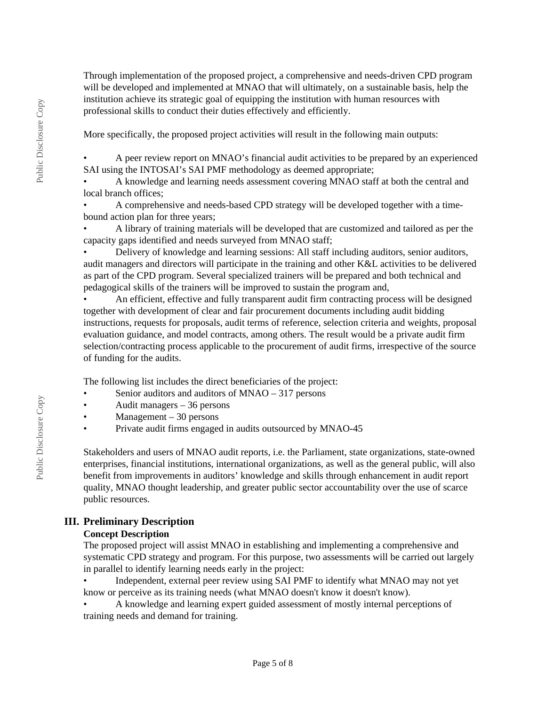Through implementation of the proposed project, a comprehensive and needs-driven CPD program will be developed and implemented at MNAO that will ultimately, on a sustainable basis, help the institution achieve its strategic goal of equipping the institution with human resources with professional skills to conduct their duties effectively and efficiently.

More specifically, the proposed project activities will result in the following main outputs:

• A peer review report on MNAO's financial audit activities to be prepared by an experienced SAI using the INTOSAI's SAI PMF methodology as deemed appropriate;

• A knowledge and learning needs assessment covering MNAO staff at both the central and local branch offices;

• A comprehensive and needs-based CPD strategy will be developed together with a timebound action plan for three years;

• A library of training materials will be developed that are customized and tailored as per the capacity gaps identified and needs surveyed from MNAO staff;

• Delivery of knowledge and learning sessions: All staff including auditors, senior auditors, audit managers and directors will participate in the training and other K&L activities to be delivered as part of the CPD program. Several specialized trainers will be prepared and both technical and pedagogical skills of the trainers will be improved to sustain the program and,

• An efficient, effective and fully transparent audit firm contracting process will be designed together with development of clear and fair procurement documents including audit bidding instructions, requests for proposals, audit terms of reference, selection criteria and weights, proposal evaluation guidance, and model contracts, among others. The result would be a private audit firm selection/contracting process applicable to the procurement of audit firms, irrespective of the source of funding for the audits.

The following list includes the direct beneficiaries of the project:

- Senior auditors and auditors of MNAO 317 persons
- Audit managers 36 persons
- Management 30 persons
- Private audit firms engaged in audits outsourced by MNAO-45

Stakeholders and users of MNAO audit reports, i.e. the Parliament, state organizations, state-owned enterprises, financial institutions, international organizations, as well as the general public, will also benefit from improvements in auditors' knowledge and skills through enhancement in audit report quality, MNAO thought leadership, and greater public sector accountability over the use of scarce public resources.

## **III. Preliminary Description**

## **Concept Description**

The proposed project will assist MNAO in establishing and implementing a comprehensive and systematic CPD strategy and program. For this purpose, two assessments will be carried out largely in parallel to identify learning needs early in the project:

• Independent, external peer review using SAI PMF to identify what MNAO may not yet know or perceive as its training needs (what MNAO doesn't know it doesn't know).

• A knowledge and learning expert guided assessment of mostly internal perceptions of training needs and demand for training.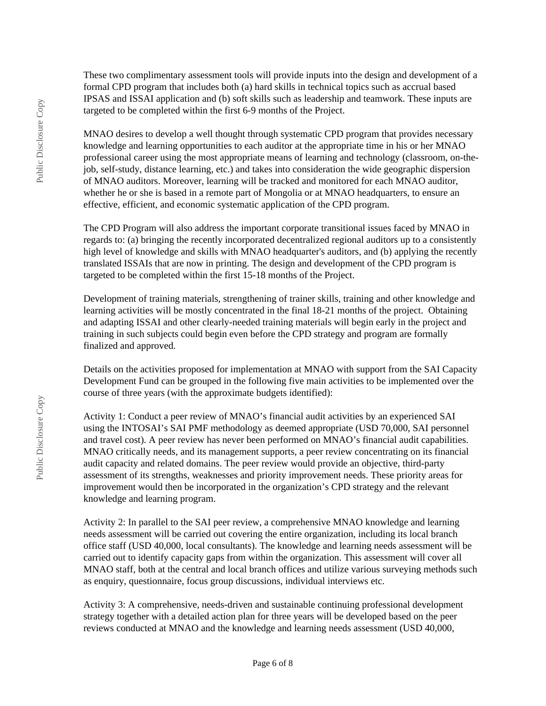These two complimentary assessment tools will provide inputs into the design and development of a formal CPD program that includes both (a) hard skills in technical topics such as accrual based IPSAS and ISSAI application and (b) soft skills such as leadership and teamwork. These inputs are targeted to be completed within the first 6-9 months of the Project.

MNAO desires to develop a well thought through systematic CPD program that provides necessary knowledge and learning opportunities to each auditor at the appropriate time in his or her MNAO professional career using the most appropriate means of learning and technology (classroom, on-thejob, self-study, distance learning, etc.) and takes into consideration the wide geographic dispersion of MNAO auditors. Moreover, learning will be tracked and monitored for each MNAO auditor, whether he or she is based in a remote part of Mongolia or at MNAO headquarters, to ensure an effective, efficient, and economic systematic application of the CPD program.

The CPD Program will also address the important corporate transitional issues faced by MNAO in regards to: (a) bringing the recently incorporated decentralized regional auditors up to a consistently high level of knowledge and skills with MNAO headquarter's auditors, and (b) applying the recently translated ISSAIs that are now in printing. The design and development of the CPD program is targeted to be completed within the first 15-18 months of the Project.

Development of training materials, strengthening of trainer skills, training and other knowledge and learning activities will be mostly concentrated in the final 18-21 months of the project. Obtaining and adapting ISSAI and other clearly-needed training materials will begin early in the project and training in such subjects could begin even before the CPD strategy and program are formally finalized and approved.

Details on the activities proposed for implementation at MNAO with support from the SAI Capacity Development Fund can be grouped in the following five main activities to be implemented over the course of three years (with the approximate budgets identified):

Activity 1: Conduct a peer review of MNAO's financial audit activities by an experienced SAI using the INTOSAI's SAI PMF methodology as deemed appropriate (USD 70,000, SAI personnel and travel cost). A peer review has never been performed on MNAO's financial audit capabilities. MNAO critically needs, and its management supports, a peer review concentrating on its financial audit capacity and related domains. The peer review would provide an objective, third-party assessment of its strengths, weaknesses and priority improvement needs. These priority areas for improvement would then be incorporated in the organization's CPD strategy and the relevant knowledge and learning program.

Activity 2: In parallel to the SAI peer review, a comprehensive MNAO knowledge and learning needs assessment will be carried out covering the entire organization, including its local branch office staff (USD 40,000, local consultants). The knowledge and learning needs assessment will be carried out to identify capacity gaps from within the organization. This assessment will cover all MNAO staff, both at the central and local branch offices and utilize various surveying methods such as enquiry, questionnaire, focus group discussions, individual interviews etc.

Activity 3: A comprehensive, needs-driven and sustainable continuing professional development strategy together with a detailed action plan for three years will be developed based on the peer reviews conducted at MNAO and the knowledge and learning needs assessment (USD 40,000,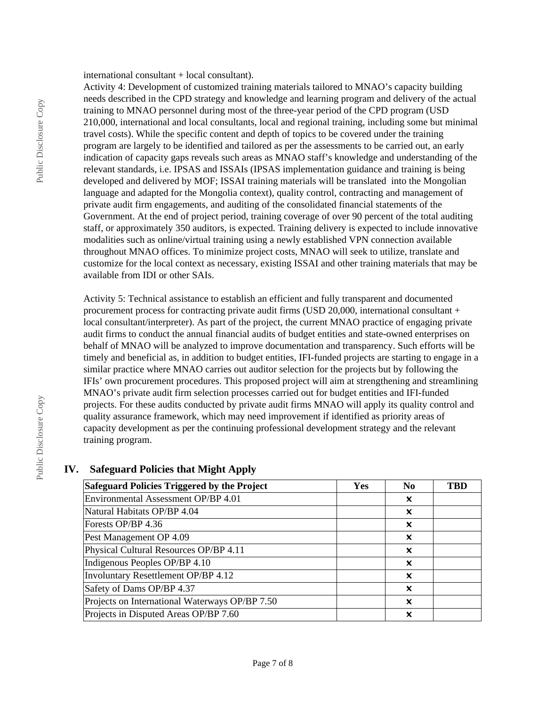international consultant + local consultant).

Activity 4: Development of customized training materials tailored to MNAO's capacity building needs described in the CPD strategy and knowledge and learning program and delivery of the actual training to MNAO personnel during most of the three-year period of the CPD program (USD 210,000, international and local consultants, local and regional training, including some but minimal travel costs). While the specific content and depth of topics to be covered under the training program are largely to be identified and tailored as per the assessments to be carried out, an early indication of capacity gaps reveals such areas as MNAO staff's knowledge and understanding of the relevant standards, i.e. IPSAS and ISSAIs (IPSAS implementation guidance and training is being developed and delivered by MOF; ISSAI training materials will be translated into the Mongolian language and adapted for the Mongolia context), quality control, contracting and management of private audit firm engagements, and auditing of the consolidated financial statements of the Government. At the end of project period, training coverage of over 90 percent of the total auditing staff, or approximately 350 auditors, is expected. Training delivery is expected to include innovative modalities such as online/virtual training using a newly established VPN connection available throughout MNAO offices. To minimize project costs, MNAO will seek to utilize, translate and customize for the local context as necessary, existing ISSAI and other training materials that may be available from IDI or other SAIs.

Activity 5: Technical assistance to establish an efficient and fully transparent and documented procurement process for contracting private audit firms (USD 20,000, international consultant + local consultant/interpreter). As part of the project, the current MNAO practice of engaging private audit firms to conduct the annual financial audits of budget entities and state-owned enterprises on behalf of MNAO will be analyzed to improve documentation and transparency. Such efforts will be timely and beneficial as, in addition to budget entities, IFI-funded projects are starting to engage in a similar practice where MNAO carries out auditor selection for the projects but by following the IFIs' own procurement procedures. This proposed project will aim at strengthening and streamlining MNAO's private audit firm selection processes carried out for budget entities and IFI-funded projects. For these audits conducted by private audit firms MNAO will apply its quality control and quality assurance framework, which may need improvement if identified as priority areas of capacity development as per the continuing professional development strategy and the relevant training program.

## **IV. Safeguard Policies that Might Apply**

| Safeguard Policies Triggered by the Project    | <b>Yes</b> | N <sub>0</sub> | TBD |
|------------------------------------------------|------------|----------------|-----|
| Environmental Assessment OP/BP 4.01            |            | x              |     |
| Natural Habitats OP/BP 4.04                    |            | x              |     |
| Forests OP/BP 4.36                             |            | x              |     |
| Pest Management OP 4.09                        |            | x              |     |
| Physical Cultural Resources OP/BP 4.11         |            | ×              |     |
| Indigenous Peoples OP/BP 4.10                  |            | ×              |     |
| Involuntary Resettlement OP/BP 4.12            |            | ×              |     |
| Safety of Dams OP/BP 4.37                      |            | ×              |     |
| Projects on International Waterways OP/BP 7.50 |            | ×              |     |
| Projects in Disputed Areas OP/BP 7.60          |            | ×              |     |